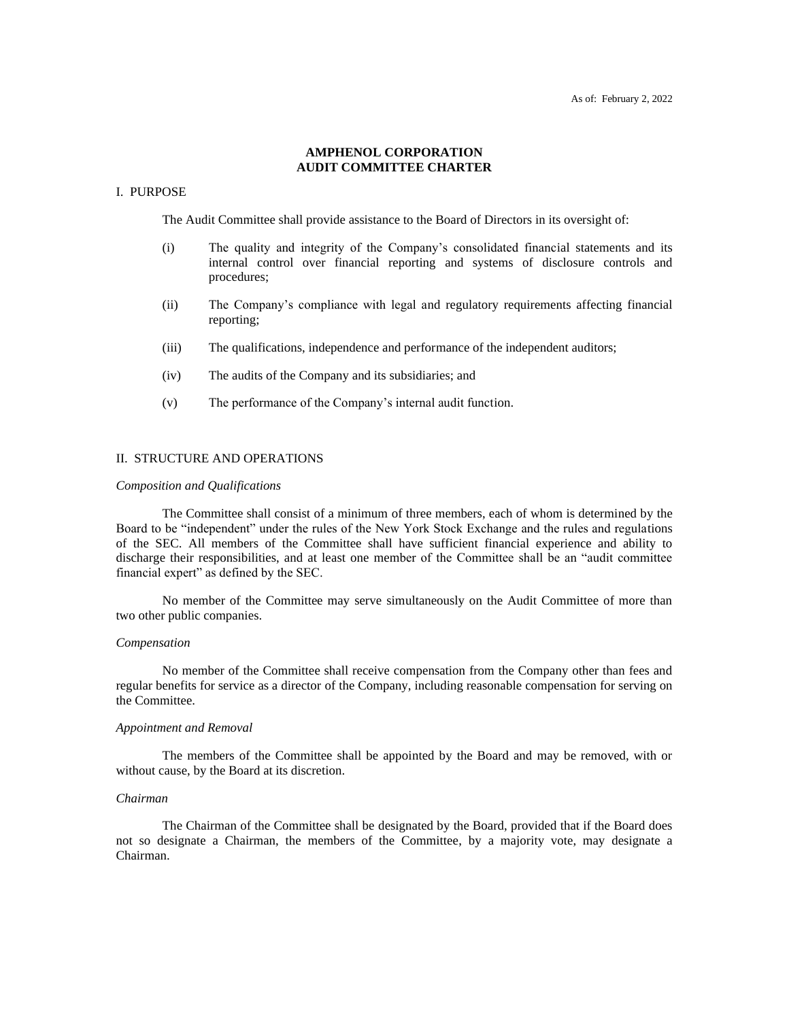## **AMPHENOL CORPORATION AUDIT COMMITTEE CHARTER**

## I. PURPOSE

The Audit Committee shall provide assistance to the Board of Directors in its oversight of:

- (i) The quality and integrity of the Company's consolidated financial statements and its internal control over financial reporting and systems of disclosure controls and procedures;
- (ii) The Company's compliance with legal and regulatory requirements affecting financial reporting;
- (iii) The qualifications, independence and performance of the independent auditors;
- (iv) The audits of the Company and its subsidiaries; and
- (v) The performance of the Company's internal audit function.

### II. STRUCTURE AND OPERATIONS

#### *Composition and Qualifications*

The Committee shall consist of a minimum of three members, each of whom is determined by the Board to be "independent" under the rules of the New York Stock Exchange and the rules and regulations of the SEC. All members of the Committee shall have sufficient financial experience and ability to discharge their responsibilities, and at least one member of the Committee shall be an "audit committee financial expert" as defined by the SEC.

No member of the Committee may serve simultaneously on the Audit Committee of more than two other public companies.

### *Compensation*

No member of the Committee shall receive compensation from the Company other than fees and regular benefits for service as a director of the Company, including reasonable compensation for serving on the Committee.

#### *Appointment and Removal*

The members of the Committee shall be appointed by the Board and may be removed, with or without cause, by the Board at its discretion.

#### *Chairman*

The Chairman of the Committee shall be designated by the Board, provided that if the Board does not so designate a Chairman, the members of the Committee, by a majority vote, may designate a Chairman.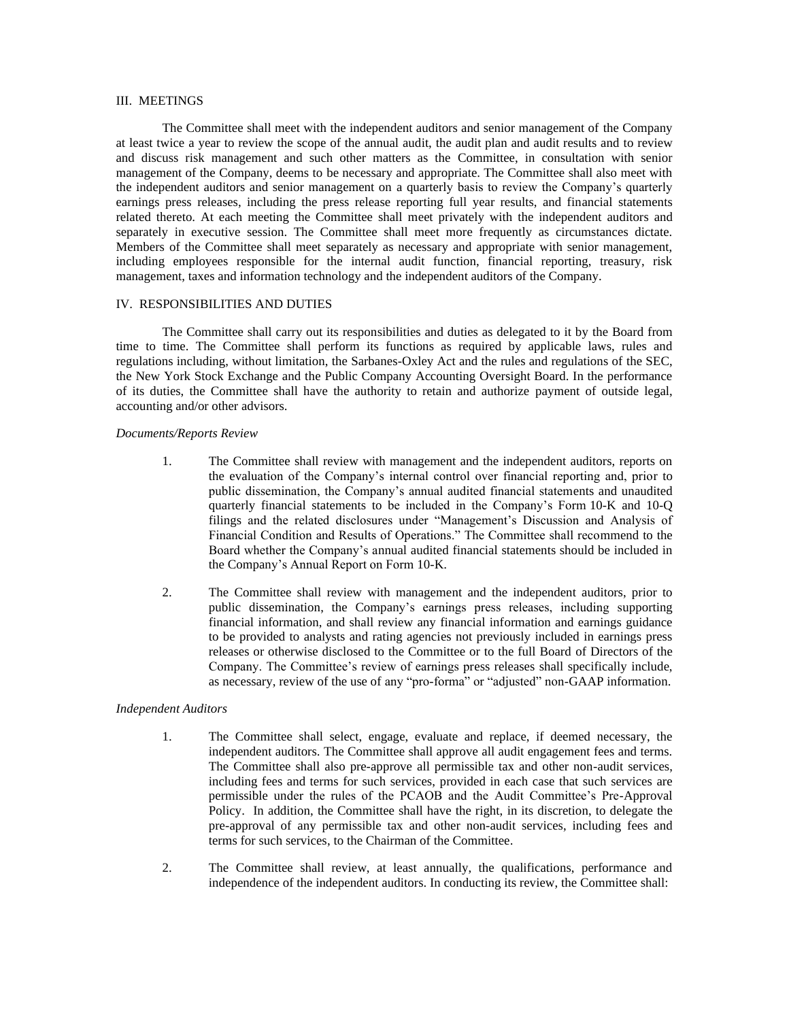### III. MEETINGS

The Committee shall meet with the independent auditors and senior management of the Company at least twice a year to review the scope of the annual audit, the audit plan and audit results and to review and discuss risk management and such other matters as the Committee, in consultation with senior management of the Company, deems to be necessary and appropriate. The Committee shall also meet with the independent auditors and senior management on a quarterly basis to review the Company's quarterly earnings press releases, including the press release reporting full year results, and financial statements related thereto. At each meeting the Committee shall meet privately with the independent auditors and separately in executive session. The Committee shall meet more frequently as circumstances dictate. Members of the Committee shall meet separately as necessary and appropriate with senior management, including employees responsible for the internal audit function, financial reporting, treasury, risk management, taxes and information technology and the independent auditors of the Company.

### IV. RESPONSIBILITIES AND DUTIES

The Committee shall carry out its responsibilities and duties as delegated to it by the Board from time to time. The Committee shall perform its functions as required by applicable laws, rules and regulations including, without limitation, the Sarbanes-Oxley Act and the rules and regulations of the SEC, the New York Stock Exchange and the Public Company Accounting Oversight Board. In the performance of its duties, the Committee shall have the authority to retain and authorize payment of outside legal, accounting and/or other advisors.

## *Documents/Reports Review*

- 1. The Committee shall review with management and the independent auditors, reports on the evaluation of the Company's internal control over financial reporting and, prior to public dissemination, the Company's annual audited financial statements and unaudited quarterly financial statements to be included in the Company's Form 10-K and 10-Q filings and the related disclosures under "Management's Discussion and Analysis of Financial Condition and Results of Operations." The Committee shall recommend to the Board whether the Company's annual audited financial statements should be included in the Company's Annual Report on Form 10-K.
- 2. The Committee shall review with management and the independent auditors, prior to public dissemination, the Company's earnings press releases, including supporting financial information, and shall review any financial information and earnings guidance to be provided to analysts and rating agencies not previously included in earnings press releases or otherwise disclosed to the Committee or to the full Board of Directors of the Company. The Committee's review of earnings press releases shall specifically include, as necessary, review of the use of any "pro-forma" or "adjusted" non-GAAP information.

#### *Independent Auditors*

- 1. The Committee shall select, engage, evaluate and replace, if deemed necessary, the independent auditors. The Committee shall approve all audit engagement fees and terms. The Committee shall also pre-approve all permissible tax and other non-audit services, including fees and terms for such services, provided in each case that such services are permissible under the rules of the PCAOB and the Audit Committee's Pre-Approval Policy. In addition, the Committee shall have the right, in its discretion, to delegate the pre-approval of any permissible tax and other non-audit services, including fees and terms for such services, to the Chairman of the Committee.
- 2. The Committee shall review, at least annually, the qualifications, performance and independence of the independent auditors. In conducting its review, the Committee shall: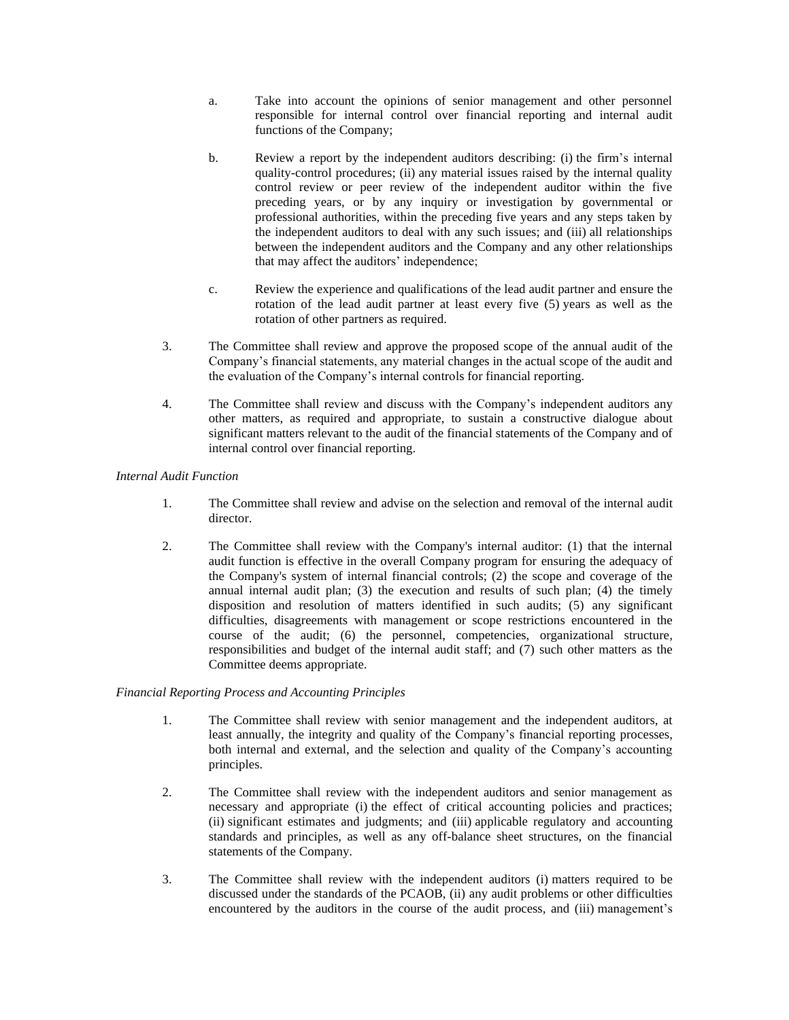- a. Take into account the opinions of senior management and other personnel responsible for internal control over financial reporting and internal audit functions of the Company;
- b. Review a report by the independent auditors describing: (i) the firm's internal quality-control procedures; (ii) any material issues raised by the internal quality control review or peer review of the independent auditor within the five preceding years, or by any inquiry or investigation by governmental or professional authorities, within the preceding five years and any steps taken by the independent auditors to deal with any such issues; and (iii) all relationships between the independent auditors and the Company and any other relationships that may affect the auditors' independence;
- c. Review the experience and qualifications of the lead audit partner and ensure the rotation of the lead audit partner at least every five (5) years as well as the rotation of other partners as required.
- 3. The Committee shall review and approve the proposed scope of the annual audit of the Company's financial statements, any material changes in the actual scope of the audit and the evaluation of the Company's internal controls for financial reporting.
- 4. The Committee shall review and discuss with the Company's independent auditors any other matters, as required and appropriate, to sustain a constructive dialogue about significant matters relevant to the audit of the financial statements of the Company and of internal control over financial reporting.

# *Internal Audit Function*

- 1. The Committee shall review and advise on the selection and removal of the internal audit director.
- 2. The Committee shall review with the Company's internal auditor: (1) that the internal audit function is effective in the overall Company program for ensuring the adequacy of the Company's system of internal financial controls; (2) the scope and coverage of the annual internal audit plan; (3) the execution and results of such plan; (4) the timely disposition and resolution of matters identified in such audits; (5) any significant difficulties, disagreements with management or scope restrictions encountered in the course of the audit; (6) the personnel, competencies, organizational structure, responsibilities and budget of the internal audit staff; and (7) such other matters as the Committee deems appropriate.

## *Financial Reporting Process and Accounting Principles*

- 1. The Committee shall review with senior management and the independent auditors, at least annually, the integrity and quality of the Company's financial reporting processes, both internal and external, and the selection and quality of the Company's accounting principles.
- 2. The Committee shall review with the independent auditors and senior management as necessary and appropriate (i) the effect of critical accounting policies and practices; (ii) significant estimates and judgments; and (iii) applicable regulatory and accounting standards and principles, as well as any off-balance sheet structures, on the financial statements of the Company.
- 3. The Committee shall review with the independent auditors (i) matters required to be discussed under the standards of the PCAOB, (ii) any audit problems or other difficulties encountered by the auditors in the course of the audit process, and (iii) management's